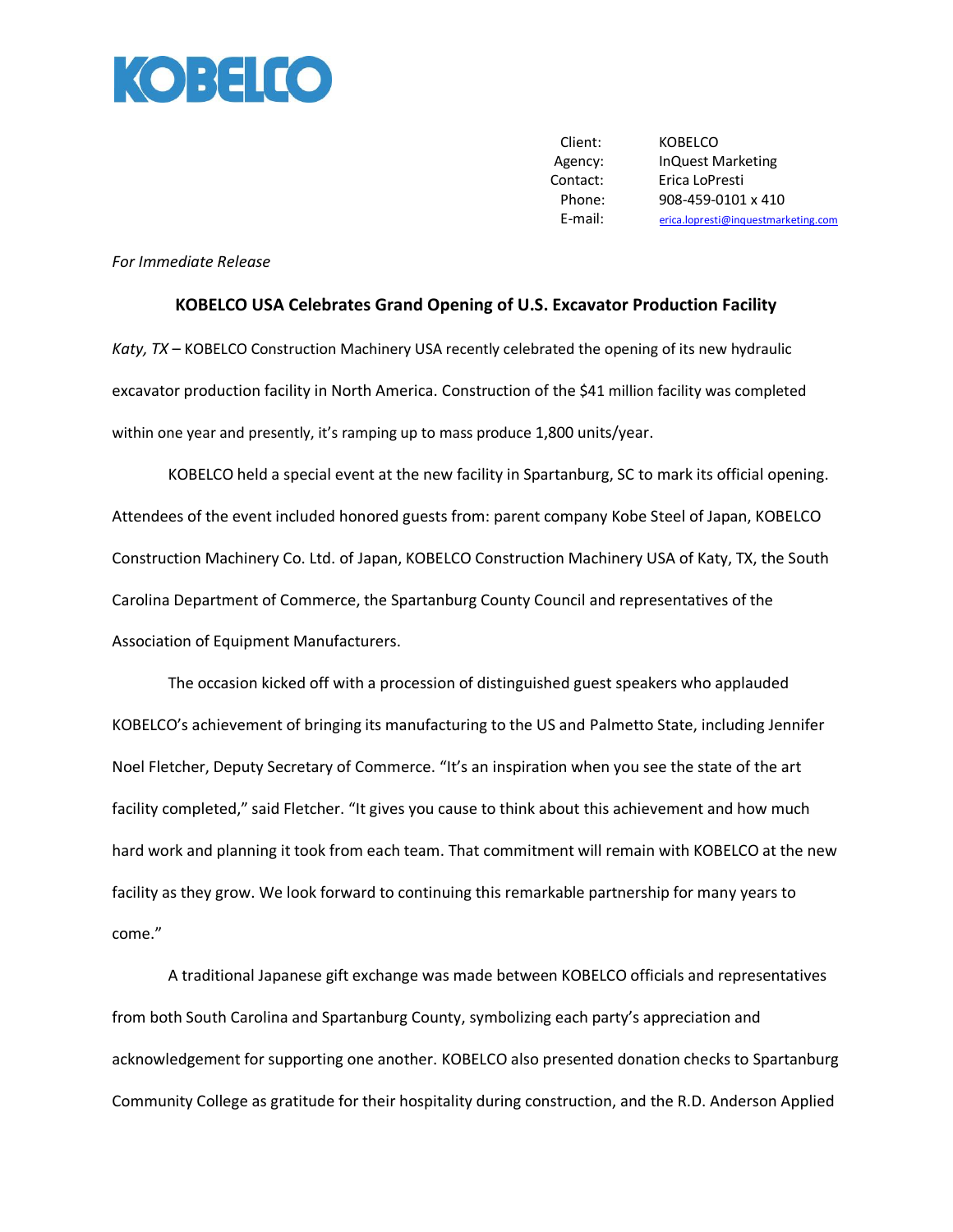

Client: KOBELCO Contact: Erica LoPresti

 Agency: InQuest Marketing Phone: 908-459-0101 x 410 E-mail: [erica.lopresti@inquestmarketing.com](mailto:erica.lopresti@inquestmarketing.com)

## *For Immediate Release*

## **KOBELCO USA Celebrates Grand Opening of U.S. Excavator Production Facility**

*Katy, TX* – KOBELCO Construction Machinery USA recently celebrated the opening of its new hydraulic excavator production facility in North America. Construction of the \$41 million facility was completed within one year and presently, it's ramping up to mass produce 1,800 units/year.

KOBELCO held a special event at the new facility in Spartanburg, SC to mark its official opening. Attendees of the event included honored guests from: parent company Kobe Steel of Japan, KOBELCO Construction Machinery Co. Ltd. of Japan, KOBELCO Construction Machinery USA of Katy, TX, the South Carolina Department of Commerce, the Spartanburg County Council and representatives of the Association of Equipment Manufacturers.

The occasion kicked off with a procession of distinguished guest speakers who applauded KOBELCO's achievement of bringing its manufacturing to the US and Palmetto State, including Jennifer Noel Fletcher, Deputy Secretary of Commerce. "It's an inspiration when you see the state of the art facility completed," said Fletcher. "It gives you cause to think about this achievement and how much hard work and planning it took from each team. That commitment will remain with KOBELCO at the new facility as they grow. We look forward to continuing this remarkable partnership for many years to come."

A traditional Japanese gift exchange was made between KOBELCO officials and representatives from both South Carolina and Spartanburg County, symbolizing each party's appreciation and acknowledgement for supporting one another. KOBELCO also presented donation checks to Spartanburg Community College as gratitude for their hospitality during construction, and the R.D. Anderson Applied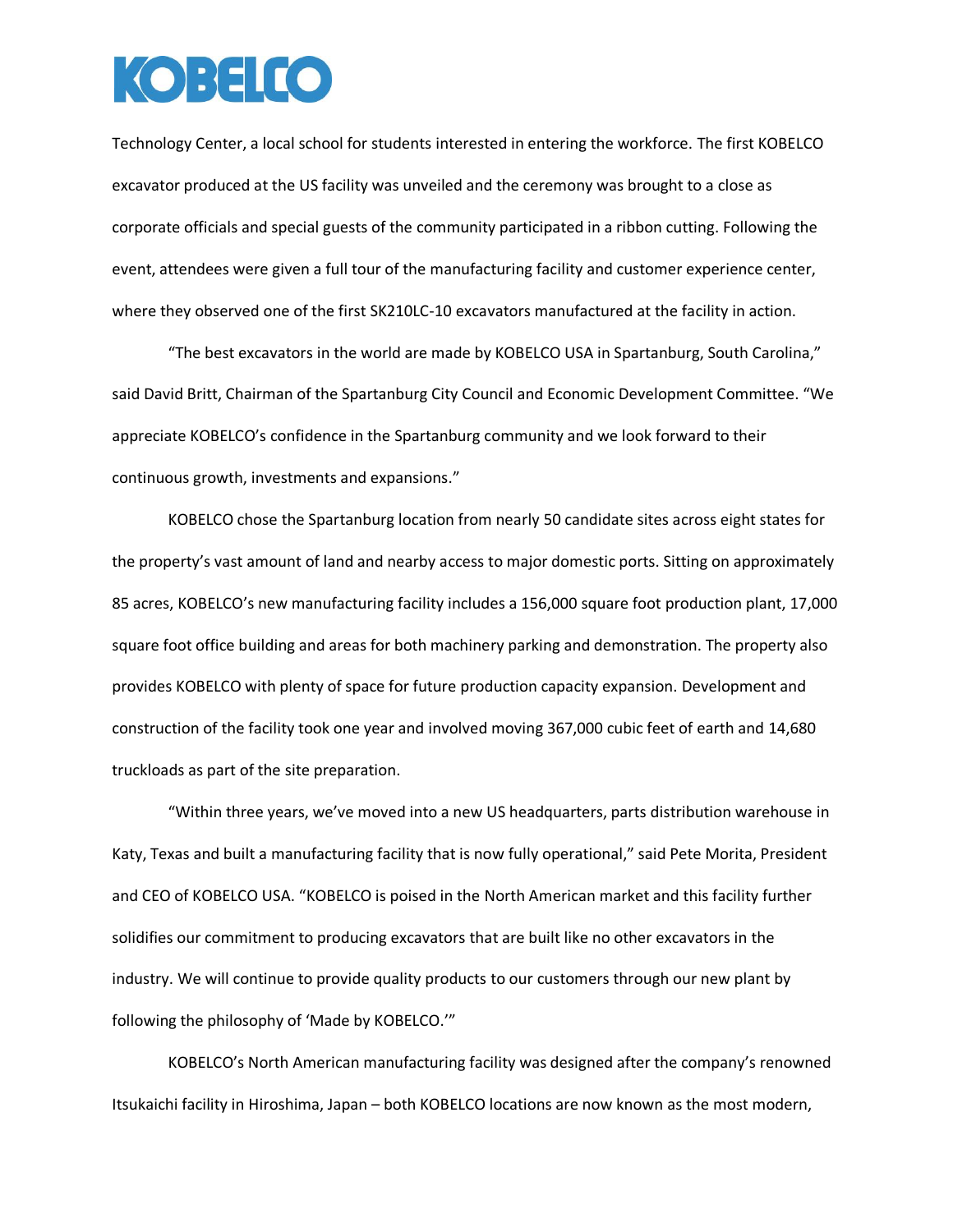## **KOBELCO**

Technology Center, a local school for students interested in entering the workforce. The first KOBELCO excavator produced at the US facility was unveiled and the ceremony was brought to a close as corporate officials and special guests of the community participated in a ribbon cutting. Following the event, attendees were given a full tour of the manufacturing facility and customer experience center, where they observed one of the first SK210LC-10 excavators manufactured at the facility in action.

"The best excavators in the world are made by KOBELCO USA in Spartanburg, South Carolina," said David Britt, Chairman of the Spartanburg City Council and Economic Development Committee. "We appreciate KOBELCO's confidence in the Spartanburg community and we look forward to their continuous growth, investments and expansions."

KOBELCO chose the Spartanburg location from nearly 50 candidate sites across eight states for the property's vast amount of land and nearby access to major domestic ports. Sitting on approximately 85 acres, KOBELCO's new manufacturing facility includes a 156,000 square foot production plant, 17,000 square foot office building and areas for both machinery parking and demonstration. The property also provides KOBELCO with plenty of space for future production capacity expansion. Development and construction of the facility took one year and involved moving 367,000 cubic feet of earth and 14,680 truckloads as part of the site preparation.

"Within three years, we've moved into a new US headquarters, parts distribution warehouse in Katy, Texas and built a manufacturing facility that is now fully operational," said Pete Morita, President and CEO of KOBELCO USA. "KOBELCO is poised in the North American market and this facility further solidifies our commitment to producing excavators that are built like no other excavators in the industry. We will continue to provide quality products to our customers through our new plant by following the philosophy of 'Made by KOBELCO.'"

KOBELCO's North American manufacturing facility was designed after the company's renowned Itsukaichi facility in Hiroshima, Japan – both KOBELCO locations are now known as the most modern,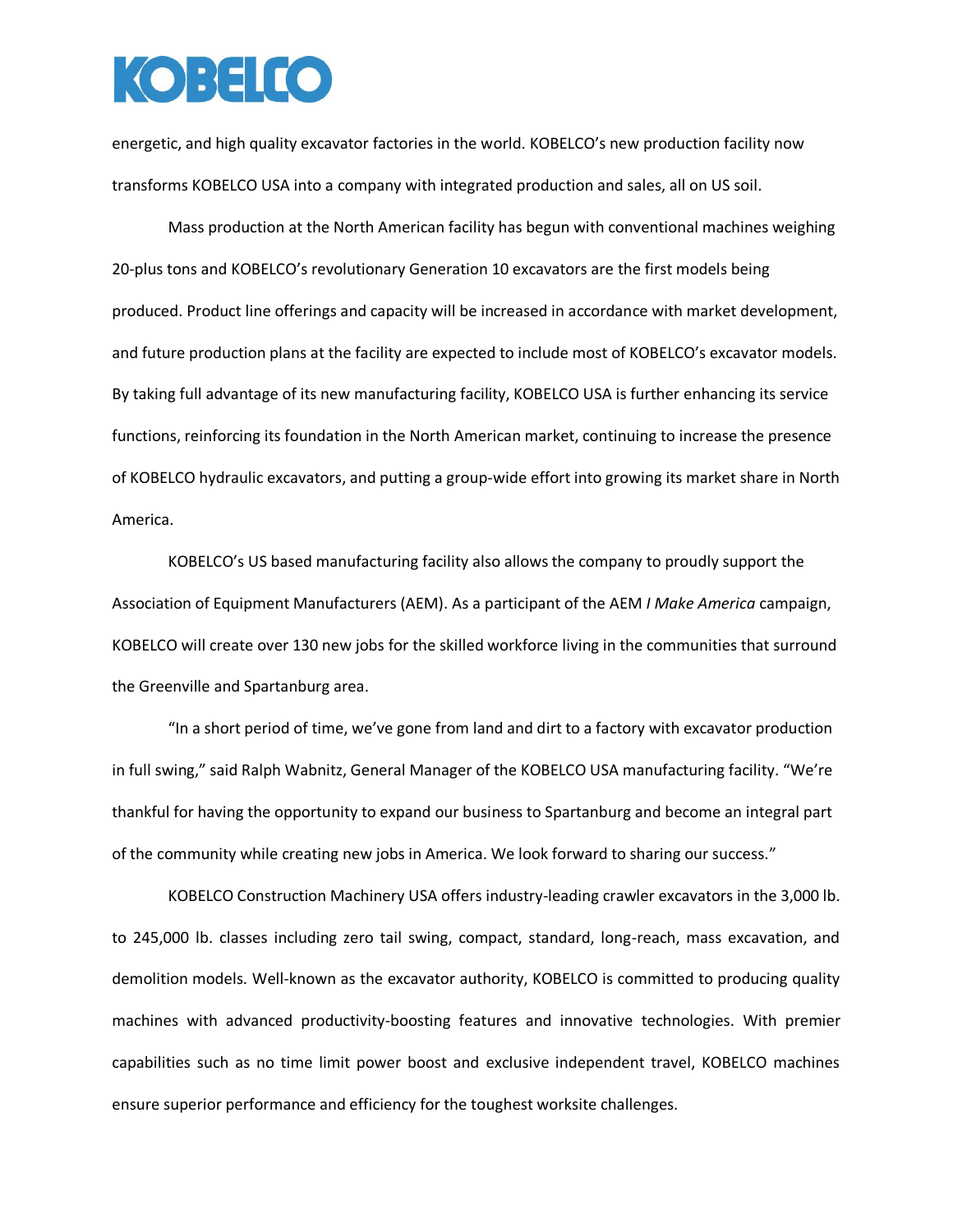## KOBELCO

energetic, and high quality excavator factories in the world. KOBELCO's new production facility now transforms KOBELCO USA into a company with integrated production and sales, all on US soil.

Mass production at the North American facility has begun with conventional machines weighing 20-plus tons and KOBELCO's revolutionary Generation 10 excavators are the first models being produced. Product line offerings and capacity will be increased in accordance with market development, and future production plans at the facility are expected to include most of KOBELCO's excavator models. By taking full advantage of its new manufacturing facility, KOBELCO USA is further enhancing its service functions, reinforcing its foundation in the North American market, continuing to increase the presence of KOBELCO hydraulic excavators, and putting a group-wide effort into growing its market share in North America.

KOBELCO's US based manufacturing facility also allows the company to proudly support the Association of Equipment Manufacturers (AEM). As a participant of the AEM *I Make America* campaign, KOBELCO will create over 130 new jobs for the skilled workforce living in the communities that surround the Greenville and Spartanburg area.

"In a short period of time, we've gone from land and dirt to a factory with excavator production in full swing," said Ralph Wabnitz, General Manager of the KOBELCO USA manufacturing facility. "We're thankful for having the opportunity to expand our business to Spartanburg and become an integral part of the community while creating new jobs in America. We look forward to sharing our success."

KOBELCO Construction Machinery USA offers industry-leading crawler excavators in the 3,000 lb. to 245,000 lb. classes including zero tail swing, compact, standard, long-reach, mass excavation, and demolition models. Well-known as the excavator authority, KOBELCO is committed to producing quality machines with advanced productivity-boosting features and innovative technologies. With premier capabilities such as no time limit power boost and exclusive independent travel, KOBELCO machines ensure superior performance and efficiency for the toughest worksite challenges.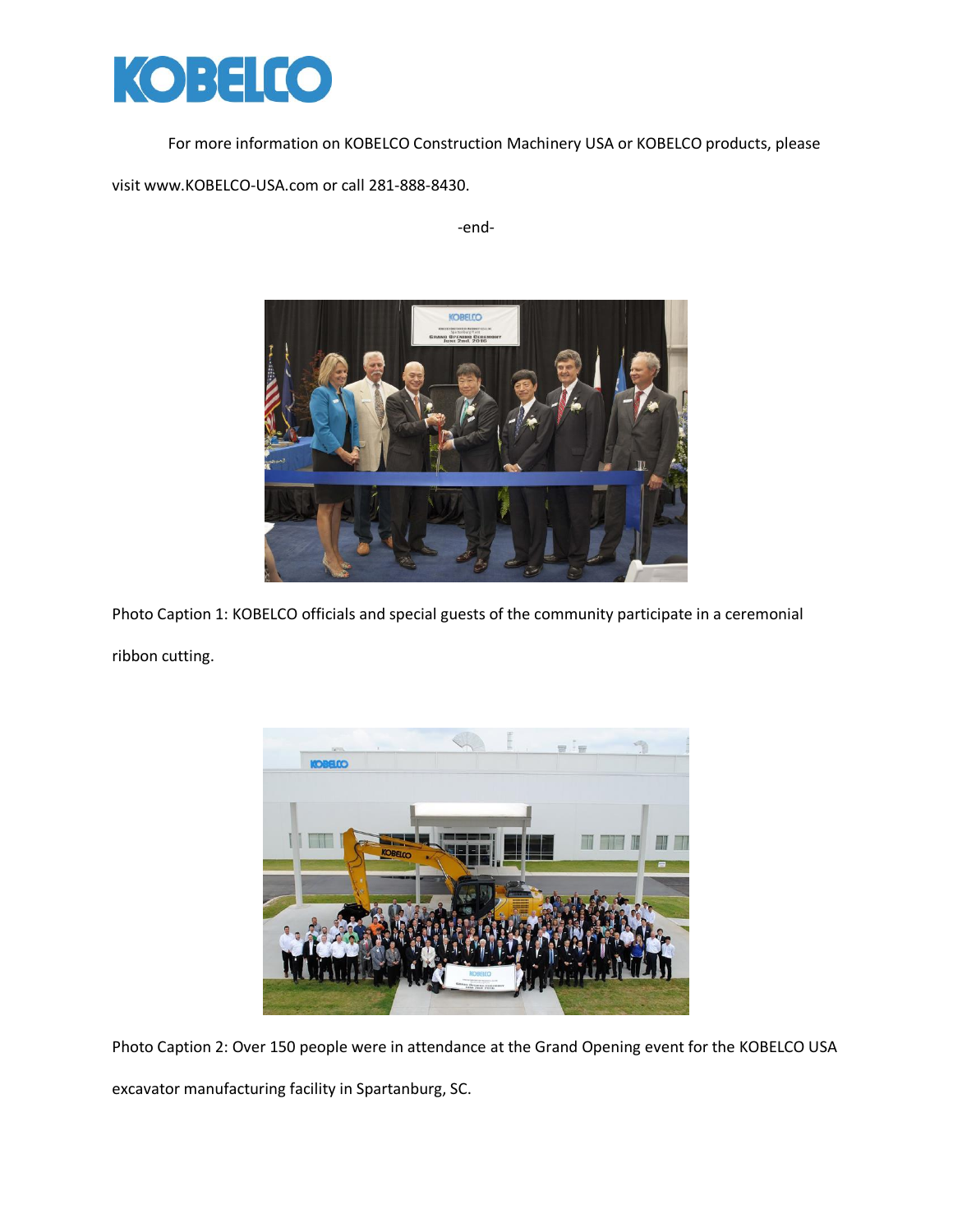

For more information on KOBELCO Construction Machinery USA or KOBELCO products, please

visit www.KOBELCO-USA.com or call 281-888-8430.

-end-



Photo Caption 1: KOBELCO officials and special guests of the community participate in a ceremonial ribbon cutting.



Photo Caption 2: Over 150 people were in attendance at the Grand Opening event for the KOBELCO USA

excavator manufacturing facility in Spartanburg, SC.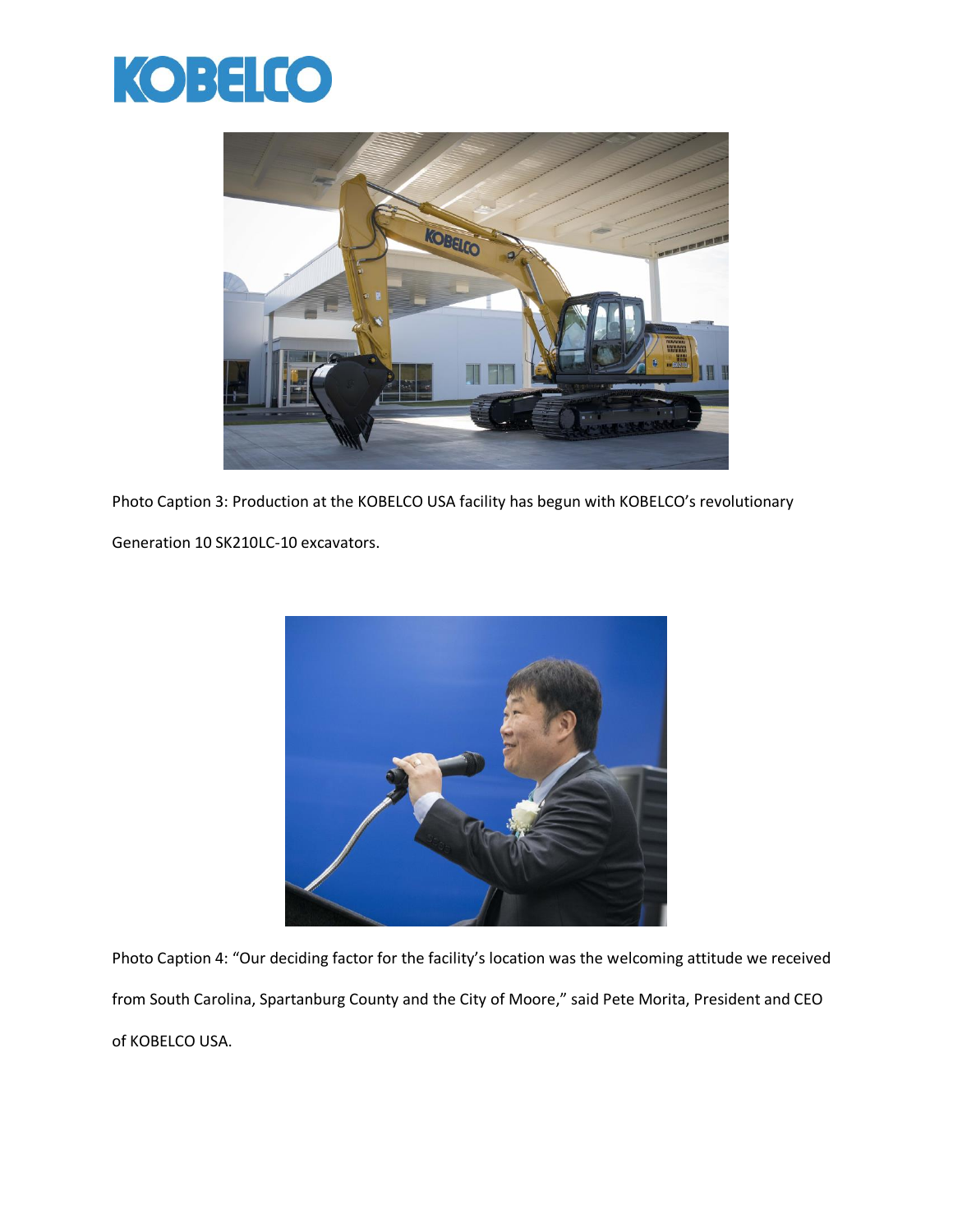



Photo Caption 3: Production at the KOBELCO USA facility has begun with KOBELCO's revolutionary

Generation 10 SK210LC-10 excavators.



Photo Caption 4: "Our deciding factor for the facility's location was the welcoming attitude we received from South Carolina, Spartanburg County and the City of Moore," said Pete Morita, President and CEO of KOBELCO USA.